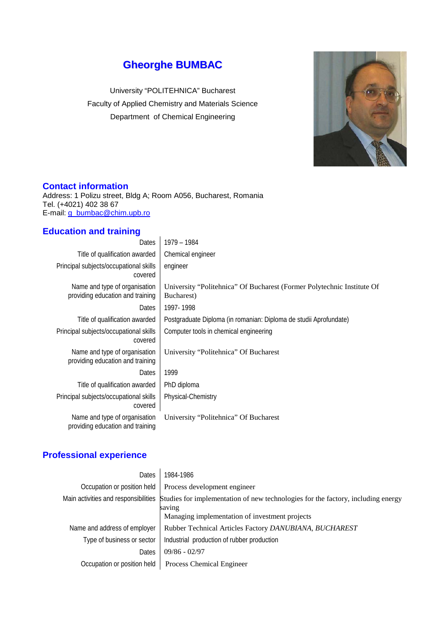# **Gheorghe BUMBAC**

University "POLITEHNICA" Bucharest Faculty of Applied Chemistry and Materials Science Department of Chemical Engineering



#### **Contact information**

Address: 1 Polizu street, Bldg A; Room A056, Bucharest, Romania Tel. (+4021) 402 38 67 E-mail: [g\\_bumbac@chim.upb.ro](mailto:g_bumbac@chim.upb.ro)

# **Education and training**

| Dates                                                             | 1979 – 1984                                                                          |
|-------------------------------------------------------------------|--------------------------------------------------------------------------------------|
| Title of qualification awarded                                    | Chemical engineer                                                                    |
| Principal subjects/occupational skills<br>covered                 | engineer                                                                             |
| Name and type of organisation<br>providing education and training | University "Politehnica" Of Bucharest (Former Polytechnic Institute Of<br>Bucharest) |
| Dates                                                             | 1997-1998                                                                            |
| Title of qualification awarded                                    | Postgraduate Diploma (in romanian: Diploma de studii Aprofundate)                    |
| Principal subjects/occupational skills<br>covered                 | Computer tools in chemical engineering                                               |
| Name and type of organisation<br>providing education and training | University "Politehnica" Of Bucharest                                                |
| Dates                                                             | 1999                                                                                 |
| Title of qualification awarded                                    | PhD diploma                                                                          |
| Principal subjects/occupational skills<br>covered                 | Physical-Chemistry                                                                   |
| Name and type of organisation<br>providing education and training | University "Politehnica" Of Bucharest                                                |

# **Professional experience**

| Dates                        | 1984-1986                                                                                                                                                                         |  |
|------------------------------|-----------------------------------------------------------------------------------------------------------------------------------------------------------------------------------|--|
| Occupation or position held  | Process development engineer                                                                                                                                                      |  |
|                              | Main activities and responsibilities Studies for implementation of new technologies for the factory, including energy<br>saving<br>Managing implementation of investment projects |  |
| Name and address of employer | Rubber Technical Articles Factory DANUBIANA, BUCHAREST                                                                                                                            |  |
| Type of business or sector   | Industrial production of rubber production                                                                                                                                        |  |
| Dates                        | $09/86 - 02/97$                                                                                                                                                                   |  |
| Occupation or position held  | <b>Process Chemical Engineer</b>                                                                                                                                                  |  |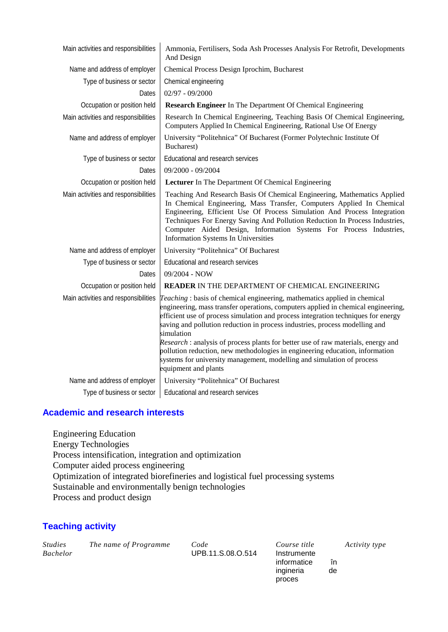| Main activities and responsibilities | Ammonia, Fertilisers, Soda Ash Processes Analysis For Retrofit, Developments<br>And Design                                                                                                                                                                                                                                                                                                                                                                                                                                                                                                                             |  |  |
|--------------------------------------|------------------------------------------------------------------------------------------------------------------------------------------------------------------------------------------------------------------------------------------------------------------------------------------------------------------------------------------------------------------------------------------------------------------------------------------------------------------------------------------------------------------------------------------------------------------------------------------------------------------------|--|--|
| Name and address of employer         | Chemical Process Design Iprochim, Bucharest                                                                                                                                                                                                                                                                                                                                                                                                                                                                                                                                                                            |  |  |
| Type of business or sector           | Chemical engineering                                                                                                                                                                                                                                                                                                                                                                                                                                                                                                                                                                                                   |  |  |
| Dates                                | $02/97 - 09/2000$                                                                                                                                                                                                                                                                                                                                                                                                                                                                                                                                                                                                      |  |  |
| Occupation or position held          | <b>Research Engineer</b> In The Department Of Chemical Engineering                                                                                                                                                                                                                                                                                                                                                                                                                                                                                                                                                     |  |  |
| Main activities and responsibilities | Research In Chemical Engineering, Teaching Basis Of Chemical Engineering,<br>Computers Applied In Chemical Engineering, Rational Use Of Energy                                                                                                                                                                                                                                                                                                                                                                                                                                                                         |  |  |
| Name and address of employer         | University "Politehnica" Of Bucharest (Former Polytechnic Institute Of<br>Bucharest)                                                                                                                                                                                                                                                                                                                                                                                                                                                                                                                                   |  |  |
| Type of business or sector           | Educational and research services                                                                                                                                                                                                                                                                                                                                                                                                                                                                                                                                                                                      |  |  |
| Dates                                | 09/2000 - 09/2004                                                                                                                                                                                                                                                                                                                                                                                                                                                                                                                                                                                                      |  |  |
| Occupation or position held          | Lecturer In The Department Of Chemical Engineering                                                                                                                                                                                                                                                                                                                                                                                                                                                                                                                                                                     |  |  |
| Main activities and responsibilities | Teaching And Research Basis Of Chemical Engineering, Mathematics Applied<br>In Chemical Engineering, Mass Transfer, Computers Applied In Chemical<br>Engineering, Efficient Use Of Process Simulation And Process Integration<br>Techniques For Energy Saving And Pollution Reduction In Process Industries,<br>Computer Aided Design, Information Systems For Process Industries,<br>Information Systems In Universities                                                                                                                                                                                              |  |  |
| Name and address of employer         | University "Politehnica" Of Bucharest                                                                                                                                                                                                                                                                                                                                                                                                                                                                                                                                                                                  |  |  |
| Type of business or sector           | Educational and research services                                                                                                                                                                                                                                                                                                                                                                                                                                                                                                                                                                                      |  |  |
| Dates                                | 09/2004 - NOW                                                                                                                                                                                                                                                                                                                                                                                                                                                                                                                                                                                                          |  |  |
| Occupation or position held          | <b>READER IN THE DEPARTMENT OF CHEMICAL ENGINEERING</b>                                                                                                                                                                                                                                                                                                                                                                                                                                                                                                                                                                |  |  |
| Main activities and responsibilities | Teaching: basis of chemical engineering, mathematics applied in chemical<br>engineering, mass transfer operations, computers applied in chemical engineering,<br>efficient use of process simulation and process integration techniques for energy<br>saving and pollution reduction in process industries, process modelling and<br>simulation<br>Research : analysis of process plants for better use of raw materials, energy and<br>pollution reduction, new methodologies in engineering education, information<br>systems for university management, modelling and simulation of process<br>equipment and plants |  |  |
| Name and address of employer         | University "Politehnica" Of Bucharest                                                                                                                                                                                                                                                                                                                                                                                                                                                                                                                                                                                  |  |  |
| Type of business or sector           | Educational and research services                                                                                                                                                                                                                                                                                                                                                                                                                                                                                                                                                                                      |  |  |

### **Academic and research interests**

Engineering Education Energy Technologies Process intensification, integration and optimization Computer aided process engineering Optimization of integrated biorefineries and logistical fuel processing systems Sustainable and environmentally benign technologies Process and product design

# **Teaching activity**

| <i>Studies</i><br><b>Bachelor</b> | The name of Programme | Code<br>UPB.11.S.08.O.514 | Course title<br>Instrumente |    | Activity type |
|-----------------------------------|-----------------------|---------------------------|-----------------------------|----|---------------|
|                                   |                       |                           | informatice                 | în |               |
|                                   |                       |                           | ingineria                   | de |               |

ingineria proces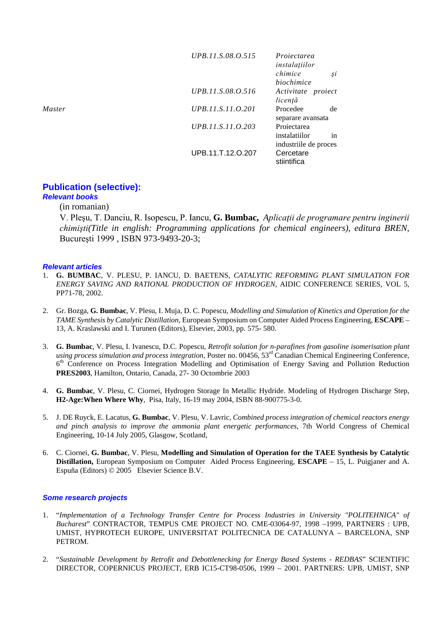|               | UPB.11.S.08.O.515 | Projectarea<br>instalatiilor |
|---------------|-------------------|------------------------------|
|               |                   | chimice<br>Şĺ                |
|               |                   | biochimice                   |
|               | UPB.11.S.08.O.516 | Activitate proiect           |
|               |                   | licență                      |
| <i>Master</i> | UPB.11.S.11.0.201 | Procedee<br>de               |
|               |                   | separare avansata            |
|               | UPB.11.S.11.0.203 | Projectarea                  |
|               |                   | instalatiilor<br>1n          |
|               |                   | industriile de proces        |
|               | UPB.11.T.12.O.207 | Cercetare<br>stiintifica     |

# **Publication (selective):**

# *Relevant books*

#### (in romanian)

V. Pleşu, T. Danciu, R. Isopescu, P. Iancu, **G. Bumbac,** *Aplicaţii de programare pentru inginerii chimişti(Title in english: Programming applications for chemical engineers), editura BREN*, Bucureşti 1999 , ISBN 973-9493-20-3;

#### *Relevant articles*

- 1. **G. BUMBAC**, V. PLESU, P. IANCU, D. BAETENS*, CATALYTIC REFORMING PLANT SIMULATION FOR ENERGY SAVING AND RATIONAL PRODUCTION OF HYDROGEN*, AIDIC CONFERENCE SERIES, VOL 5, PP71-78, 2002.
- 2. Gr. Bozga, **G. Bumbac**, V. Plesu, I. Muja, D. C. Popescu, *Modelling and Simulation of Kinetics and Operation for the TAME Synthesis by Catalytic Distillation*, European Symposium on Computer Aided Process Engineering, **ESCAPE** – 13, A. Kraslawski and I. Turunen (Editors), Elsevier, 2003, pp. 575- 580.
- 3. **G. Bumbac**, V. Plesu, I. Ivanescu, D.C. Popescu, *Retrofit solution for n-parafines from gasoline isomerisation plant using process simulation and process integration*, Poster no. 00456, 53rd Canadian Chemical Engineering Conference, 6th Conference on Process Integration Modelling and Optimisation of Energy Saving and Pollution Reduction **PRES2003**, Hamilton, Ontario, Canada, 27- 30 Octombrie 2003
- 4. **G. Bumbac**, V. Plesu, C. Ciornei, Hydrogen Storage In Metallic Hydride. Modeling of Hydrogen Discharge Step, **H2-Age:When Where Why**, Pisa, Italy, 16-19 may 2004, ISBN 88-900775-3-0.
- 5. J. DE Ruyck, E. Lacatus, **G. Bumbac**, V. Plesu, V. Lavric, *Combined process integration of chemical reactors energy and pinch analysis to improve the ammonia plant energetic performances*, 7th World Congress of Chemical Engineering, 10-14 July 2005, Glasgow, Scotland,
- 6. C. Ciornei, **G. Bumbac**, V. Plesu, **Modelling and Simulation of Operation for the TAEE Synthesis by Catalytic Distillation,** European Symposium on Computer Aided Process Engineering, **ESCAPE** – 15, L. Puigjaner and A. Espuña (Editors) © 2005 Elsevier Science B.V.

#### *Some research projects*

- 1. "*Implementation of a Technology Transfer Centre for Process Industries in University "POLITEHNICA" of Bucharest*" CONTRACTOR, TEMPUS CME PROJECT NO. CME-03064-97, 1998 –1999, PARTNERS : UPB, UMIST, HYPROTECH EUROPE, UNIVERSITAT POLITECNICA DE CATALUNYA – BARCELONA, SNP PETROM.
- 2. "*Sustainable Development by Retrofit and Debottlenecking for Energy Based Systems - REDBAS*" SCIENTIFIC DIRECTOR, COPERNICUS PROJECT, ERB IC15-CT98-0506, 1999 – 2001. PARTNERS: UPB, UMIST, SNP